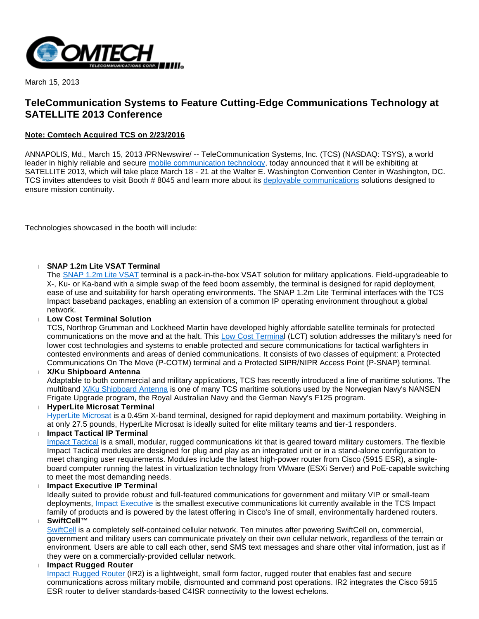

March 15, 2013

# **TeleCommunication Systems to Feature Cutting-Edge Communications Technology at SATELLITE 2013 Conference**

## **Note: Comtech Acquired TCS on 2/23/2016**

ANNAPOLIS, Md., March 15, 2013 /PRNewswire/ -- TeleCommunication Systems, Inc. (TCS) (NASDAQ: TSYS), a world leader in highly reliable and secure [mobile communication technology](http://www.telecomsys.com/), today announced that it will be exhibiting at SATELLITE 2013, which will take place March 18 - 21 at the Walter E. Washington Convention Center in Washington, DC. TCS invites attendees to visit Booth # 8045 and learn more about its [deployable communications](http://www.telecomsys.com/products/deployable-coms/default.aspx) solutions designed to ensure mission continuity.

Technologies showcased in the booth will include:

## **SNAP 1.2m Lite VSAT Terminal**

The [SNAP 1.2m Lite VSAT](http://www.telecomsys.com/products/deployable-coms/VSAT/SNAP-1-2M_Lite.aspx) terminal is a pack-in-the-box VSAT solution for military applications. Field-upgradeable to X-, Ku- or Ka-band with a simple swap of the feed boom assembly, the terminal is designed for rapid deployment, ease of use and suitability for harsh operating environments. The SNAP 1.2m Lite Terminal interfaces with the TCS Impact baseband packages, enabling an extension of a common IP operating environment throughout a global network.

#### **Low Cost Terminal Solution**

TCS, Northrop Grumman and Lockheed Martin have developed highly affordable satellite terminals for protected communications on the move and at the halt. This [Low Cost Terminal](http://www.telecomsys.com/products/deployable-coms/lctsolution.aspx) (LCT) solution addresses the military's need for lower cost technologies and systems to enable protected and secure communications for tactical warfighters in contested environments and areas of denied communications. It consists of two classes of equipment: a Protected Communications On The Move (P-COTM) terminal and a Protected SIPR/NIPR Access Point (P-SNAP) terminal.

**X/Ku Shipboard Antenna**

Adaptable to both commercial and military applications, TCS has recently introduced a line of maritime solutions. The multiband [X/Ku Shipboard Antenna](http://www.telecomsys.com/products/deployable-coms/satcom/terminals/maritime.aspx) is one of many TCS maritime solutions used by the Norwegian Navy's NANSEN Frigate Upgrade program, the Royal Australian Navy and the German Navy's F125 program.

**HyperLite Microsat Terminal**

[HyperLite Microsat](http://www.telecomsys.com/products/deployable-coms/satcom/terminals/sub-meter.aspx) is a 0.45m X-band terminal, designed for rapid deployment and maximum portability. Weighing in at only 27.5 pounds, HyperLite Microsat is ideally suited for elite military teams and tier-1 responders.

**Impact Tactical IP Terminal**

[Impact Tactical](http://www.telecomsys.com/products/deployable-coms/baseband/Impact-Tactical.aspx) is a small, modular, rugged communications kit that is geared toward military customers. The flexible Impact Tactical modules are designed for plug and play as an integrated unit or in a stand-alone configuration to meet changing user requirements. Modules include the latest high-power router from Cisco (5915 ESR), a singleboard computer running the latest in virtualization technology from VMware (ESXi Server) and PoE-capable switching to meet the most demanding needs.

**Impact Executive IP Terminal**

Ideally suited to provide robust and full-featured communications for government and military VIP or small-team deployments, [Impact Executive](http://www.telecomsys.com/products/deployable-coms/baseband/Impact-Executive.aspx) is the smallest executive communications kit currently available in the TCS Impact family of products and is powered by the latest offering in Cisco's line of small, environmentally hardened routers. **SwiftCell™**

[SwiftCell](http://www.telecomsys.com/products/deployable-coms/wireless-los/SwiftCell.aspx) is a completely self-contained cellular network. Ten minutes after powering SwiftCell on, commercial, government and military users can communicate privately on their own cellular network, regardless of the terrain or environment. Users are able to call each other, send SMS text messages and share other vital information, just as if they were on a commercially-provided cellular network.

**Impact Rugged Router** 

[Impact Rugged Router \(](http://www.telecomsys.com/products/deployable-coms/baseband/impact-rugged-router.aspx)IR2) is a lightweight, small form factor, rugged router that enables fast and secure communications across military mobile, dismounted and command post operations. IR2 integrates the Cisco 5915 ESR router to deliver standards-based C4ISR connectivity to the lowest echelons.